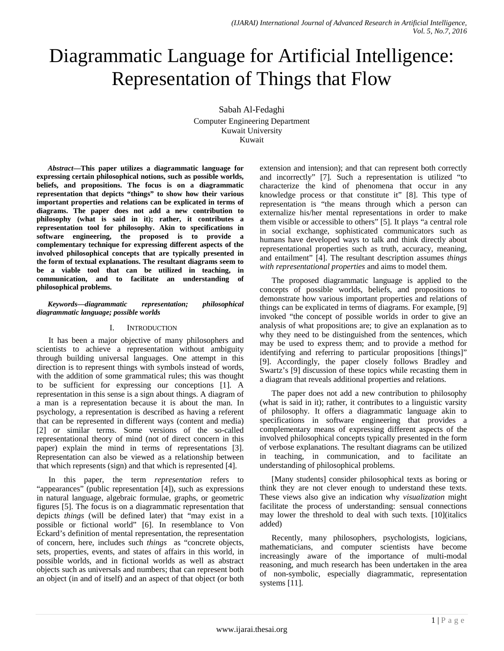# Diagrammatic Language for Artificial Intelligence: Representation of Things that Flow

Sabah Al-Fedaghi Computer Engineering Department Kuwait University Kuwait

*Abstract***—This paper utilizes a diagrammatic language for expressing certain philosophical notions, such as possible worlds, beliefs, and propositions. The focus is on a diagrammatic representation that depicts "things" to show how their various important properties and relations can be explicated in terms of diagrams. The paper does not add a new contribution to philosophy (what is said in it); rather, it contributes a representation tool for philosophy. Akin to specifications in software engineering, the proposed is to provide a complementary technique for expressing different aspects of the involved philosophical concepts that are typically presented in the form of textual explanations. The resultant diagrams seem to be a viable tool that can be utilized in teaching, in communication, and to facilitate an understanding of philosophical problems.**

#### *Keywords—diagrammatic representation; philosophical diagrammatic language; possible* **w***orlds*

## I. INTRODUCTION

It has been a major objective of many philosophers and scientists to achieve a representation without ambiguity through building universal languages. One attempt in this direction is to represent things with symbols instead of words, with the addition of some grammatical rules; this was thought to be sufficient for expressing our conceptions [1]. A representation in this sense is a sign about things. A diagram of a man is a representation because it is about the man. In psychology, a representation is described as having a referent that can be represented in different ways (content and media) [2] or similar terms. Some versions of the so-called representational theory of mind (not of direct concern in this paper) explain the mind in terms of representations [3]. Representation can also be viewed as a relationship between that which represents (sign) and that which is represented [4].

In this paper, the term *representation* refers to "appearances" (public representation [4]), such as expressions in natural language, algebraic formulae, graphs, or geometric figures [5]. The focus is on a diagrammatic representation that depicts *things* (will be defined later) that "may exist in a possible or fictional world" [6]. In resemblance to Von Eckard's definition of mental representation, the representation of concern, here, includes such *things* as "concrete objects, sets, properties, events, and states of affairs in this world, in possible worlds, and in fictional worlds as well as abstract objects such as universals and numbers; that can represent both an object (in and of itself) and an aspect of that object (or both extension and intension); and that can represent both correctly and incorrectly" [7]*.* Such a representation is utilized "to characterize the kind of phenomena that occur in any knowledge process or that constitute it" [8]. This type of representation is "the means through which a person can externalize his/her mental representations in order to make them visible or accessible to others" [5]. It plays "a central role in social exchange, sophisticated communicators such as humans have developed ways to talk and think directly about representational properties such as truth, accuracy, meaning, and entailment" [4]. The resultant description assumes *things with representational properties* and aims to model them.

The proposed diagrammatic language is applied to the concepts of possible worlds, beliefs, and propositions to demonstrate how various important properties and relations of things can be explicated in terms of diagrams. For example, [9] invoked "the concept of possible worlds in order to give an analysis of what propositions are; to give an explanation as to why they need to be distinguished from the sentences, which may be used to express them; and to provide a method for identifying and referring to particular propositions [things]" [9]. Accordingly, the paper closely follows Bradley and Swartz's [9] discussion of these topics while recasting them in a diagram that reveals additional properties and relations.

The paper does not add a new contribution to philosophy (what is said in it); rather, it contributes to a linguistic varsity of philosophy. It offers a diagrammatic language akin to specifications in software engineering that provides a complementary means of expressing different aspects of the involved philosophical concepts typically presented in the form of verbose explanations. The resultant diagrams can be utilized in teaching, in communication, and to facilitate an understanding of philosophical problems.

[Many students] consider philosophical texts as boring or think they are not clever enough to understand these texts. These views also give an indication why *visualization* might facilitate the process of understanding: sensual connections may lower the threshold to deal with such texts. [10](italics added)

Recently, many philosophers, psychologists, logicians, mathematicians, and computer scientists have become increasingly aware of the importance of multi-modal reasoning, and much research has been undertaken in the area of non-symbolic, especially diagrammatic, representation systems [11].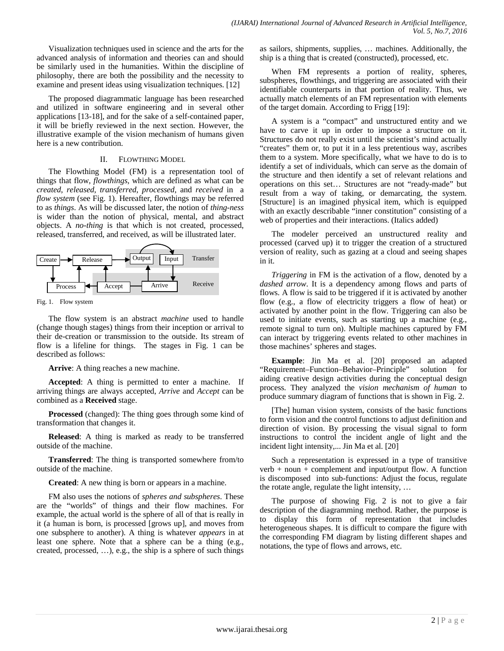Visualization techniques used in science and the arts for the advanced analysis of information and theories can and should be similarly used in the humanities. Within the discipline of philosophy, there are both the possibility and the necessity to examine and present ideas using visualization techniques. [12]

The proposed diagrammatic language has been researched and utilized in software engineering and in several other applications [13-18], and for the sake of a self-contained paper, it will be briefly reviewed in the next section. However, the illustrative example of the vision mechanism of humans given here is a new contribution.

#### II. FLOWTHING MODEL

The Flowthing Model (FM) is a representation tool of things that flow, *flowthings,* which are defined as what can be *created*, *released*, *transferred*, *processed*, and *received* in a *flow system* (see Fig. 1). Hereafter, flowthings may be referred to as *things*. As will be discussed later, the notion of *thing-ness* is wider than the notion of physical, mental, and abstract objects. A *no-thing* is that which is not created, processed, released, transferred, and received, as will be illustrated later.



Fig. 1. Flow system

The flow system is an abstract *machine* used to handle (change though stages) things from their inception or arrival to their de-creation or transmission to the outside. Its stream of flow is a lifeline for things. The stages in Fig. 1 can be described as follows:

**Arrive**: A thing reaches a new machine.

**Accepted**: A thing is permitted to enter a machine. If arriving things are always accepted, *Arrive* and *Accept* can be combined as a **Received** stage.

**Processed** (changed): The thing goes through some kind of transformation that changes it.

**Released**: A thing is marked as ready to be transferred outside of the machine.

**Transferred**: The thing is transported somewhere from/to outside of the machine.

**Created**: A new thing is born or appears in a machine.

FM also uses the notions of *spheres and subspheres*. These are the "worlds" of things and their flow machines. For example, the actual world is the sphere of all of that is really in it (a human is born, is processed [grows up], and moves from one subsphere to another). A thing is whatever *appears* in at least one sphere. Note that a sphere can be a thing (e.g., created, processed, …), e.g., the ship is a sphere of such things as sailors, shipments, supplies, … machines. Additionally, the ship is a thing that is created (constructed), processed, etc.

When FM represents a portion of reality, spheres, subspheres, flowthings, and triggering are associated with their identifiable counterparts in that portion of reality. Thus, we actually match elements of an FM representation with elements of the target domain. According to Frigg [19]:

A system is a "compact" and unstructured entity and we have to carve it up in order to impose a structure on it. Structures do not really exist until the scientist's mind actually "creates" them or, to put it in a less pretentious way, ascribes them to a system. More specifically, what we have to do is to identify a set of individuals, which can serve as the domain of the structure and then identify a set of relevant relations and operations on this set… Structures are not "ready-made" but result from a way of taking, or demarcating, the system. [Structure] is an imagined physical item, which is equipped with an exactly describable "inner constitution" consisting of a web of properties and their interactions. (Italics added)

The modeler perceived an unstructured reality and processed (carved up) it to trigger the creation of a structured version of reality, such as gazing at a cloud and seeing shapes in it.

*Triggering* in FM is the activation of a flow, denoted by a *dashed arrow*. It is a dependency among flows and parts of flows. A flow is said to be triggered if it is activated by another flow (e.g., a flow of electricity triggers a flow of heat) or activated by another point in the flow. Triggering can also be used to initiate events, such as starting up a machine (e.g., remote signal to turn on). Multiple machines captured by FM can interact by triggering events related to other machines in those machines' spheres and stages.

**Example**: Jin Ma et al. [20] proposed an adapted "Requirement–Function–Behavior–Principle" solution for aiding creative design activities during the conceptual design process. They analyzed the *vision mechanism of human* to produce summary diagram of functions that is shown in Fig. 2.

[The] human vision system, consists of the basic functions to form vision and the control functions to adjust definition and direction of vision. By processing the visual signal to form instructions to control the incident angle of light and the incident light intensity,... Jin Ma et al. [20]

Such a representation is expressed in a type of transitive verb + noun + complement and input/output flow. A function is discomposed into sub-functions: Adjust the focus, regulate the rotate angle, regulate the light intensity, …

The purpose of showing Fig. 2 is not to give a fair description of the diagramming method. Rather, the purpose is to display this form of representation that includes heterogeneous shapes. It is difficult to compare the figure with the corresponding FM diagram by listing different shapes and notations, the type of flows and arrows, etc.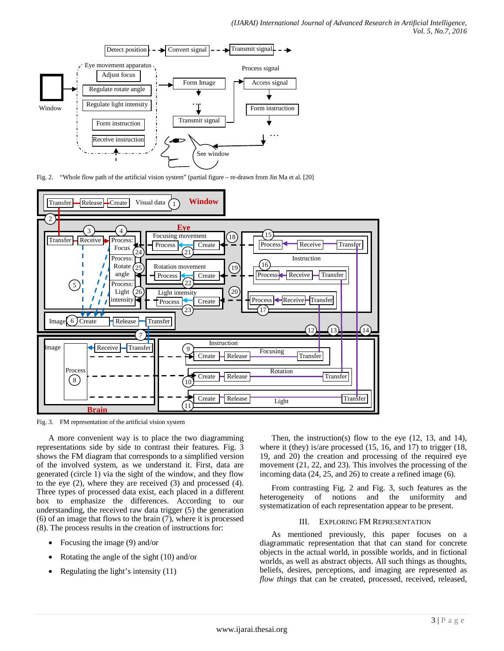

Fig. 2. "Whole flow path of the artificial vision system" (partial figure – re-drawn from Jin Ma et al. [20]



Fig. 3. FM representation of the artificial vision system

A more convenient way is to place the two diagramming representations side by side to contrast their features. Fig. 3 shows the FM diagram that corresponds to a simplified version of the involved system, as we understand it. First, data are generated (circle 1) via the sight of the window, and they flow to the eye (2), where they are received (3) and processed (4). Three types of processed data exist, each placed in a different box to emphasize the differences. According to our understanding, the received raw data trigger (5) the generation (6) of an image that flows to the brain (7), where it is processed (8). The process results in the creation of instructions for:

- Focusing the image (9) and/or
- Rotating the angle of the sight (10) and/or
- Regulating the light's intensity (11)

Then, the instruction(s) flow to the eye (12, 13, and 14), where it (they) is/are processed (15, 16, and 17) to trigger (18, 19, and 20) the creation and processing of the required eye movement (21, 22, and 23). This involves the processing of the incoming data (24, 25, and 26) to create a refined image (6).

From contrasting Fig. 2 and Fig. 3, such features as the heterogeneity of notions and the uniformity and systematization of each representation appear to be present.

#### III. EXPLORING FM REPRESENTATION

As mentioned previously, this paper focuses on a diagrammatic representation that that can stand for concrete objects in the actual world, in possible worlds, and in fictional worlds, as well as abstract objects. All such things as thoughts, beliefs, desires, perceptions, and imaging are represented as *flow things* that can be created, processed, received, released,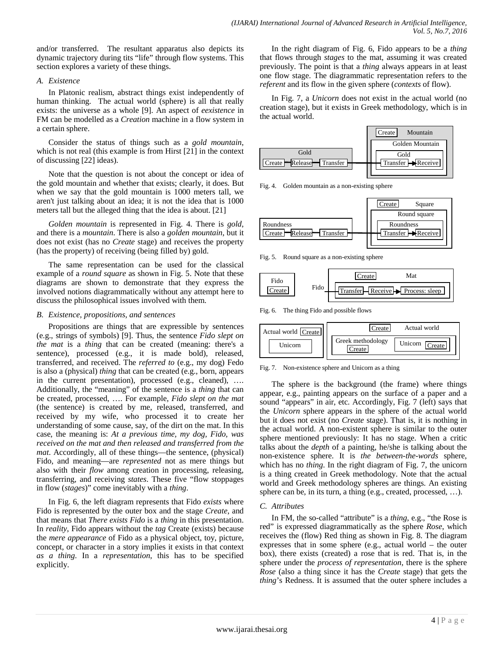and/or transferred. The resultant apparatus also depicts its dynamic trajectory during tits "life" through flow systems. This section explores a variety of these things.

# *A. Existence*

In Platonic realism, abstract things exist independently of human thinking. The actual world (sphere) is all that really exists: the universe as a whole [9]. An aspect of *eexistence* in FM can be modelled as a *Creation* machine in a flow system in a certain sphere.

Consider the status of things such as a *gold mountain*, which is not real (this example is from Hirst [21] in the context of discussing [22] ideas).

Note that the question is not about the concept or idea of the gold mountain and whether that exists; clearly, it does. But when we say that the gold mountain is 1000 meters tall, we aren't just talking about an idea; it is not the idea that is 1000 meters tall but the alleged thing that the idea is about. [21]

*Golden mountain* is represented in Fig. 4. There is *gold*, and there is a *mountain*. There is also a *golden mountain*, but it does not exist (has no *Create* stage) and receives the property (has the property) of receiving (being filled by) gold.

The same representation can be used for the classical example of a *round square* as shown in Fig. 5. Note that these diagrams are shown to demonstrate that they express the involved notions diagrammatically without any attempt here to discuss the philosophical issues involved with them.

## *B. Existence, propositions, and sentences*

Propositions are things that are expressible by sentences (e.g., strings of symbols) [9]. Thus, the sentence *Fido slept on the mat* is a *thing* that can be created (meaning: there's a sentence), processed (e.g., it is made bold), released, transferred, and received. The *referred to* (e.g., my dog) Fedo is also a (physical) *thing* that can be created (e.g., born, appears in the current presentation), processed (e.g., cleaned), …. Additionally, the "meaning" of the sentence is a *thing* that can be created, processed, …. For example, *Fido slept on the mat* (the sentence) is created by me, released, transferred, and received by my wife, who processed it to create her understanding of some cause, say, of the dirt on the mat. In this case, the meaning is: *At a previous time, my dog, Fido, was received on the mat and then released and transferred from the mat*. Accordingly, all of these things—the sentence, (physical) Fido, and meaning—are *represented* not as mere things but also with their *flow* among creation in processing, releasing, transferring, and receiving *states*. These five "flow stoppages in flow (*stages*)" come inevitably with a *thing*.

In Fig. 6, the left diagram represents that Fido *exists* where Fido is represented by the outer box and the stage *Create*, and that means that *There exists Fido* is a *thing* in this presentation. In *reality*, Fido appears without the *tag* Create (exists) because the *mere appearance* of Fido as a physical object, toy, picture, concept, or character in a story implies it exists in that context *as a thing*. In a *representation*, this has to be specified explicitly.

In the right diagram of Fig. 6, Fido appears to be a *thing* that flows through *stages* to the mat, assuming it was created previously. The point is that a *thing* always appears in at least one flow stage. The diagrammatic representation refers to the *referent* and its flow in the given sphere (*contexts* of flow).

In Fig. 7, a *Unicorn* does not exist in the actual world (no creation stage), but it exists in Greek methodology, which is in the actual world.



Fig. 4. Golden mountain as a non-existing sphere



Fig. 5. Round square as a non-existing sphere



Fig. 6. The thing Fido and possible flows



Fig. 7. Non-existence sphere and Unicorn as a thing

The sphere is the background (the frame) where things appear, e.g., painting appears on the surface of a paper and a sound "appears" in air, etc. Accordingly, Fig. 7 (left) says that the *Unicorn* sphere appears in the sphere of the actual world but it does not exist (no *Create* stage). That is, it is nothing in the actual world. A non-existent sphere is similar to the outer sphere mentioned previously: It has no stage. When a critic talks about the *depth* of a painting, he/she is talking about the non-existence sphere. It is *the between-the-words* sphere, which has no *thing*. In the right diagram of Fig. 7, the unicorn is a thing created in Greek methodology. Note that the actual world and Greek methodology spheres are things. An existing sphere can be, in its turn, a thing (e.g., created, processed, …).

# *C. Attributes*

In FM, the so-called "attribute" is a *thing*, e.g., "the Rose is red" is expressed diagrammatically as the sphere *Rose*, which receives the (flow) Red thing as shown in Fig. 8. The diagram expresses that in some sphere (e.g., actual world – the outer box), there exists (created) a rose that is red. That is, in the sphere under the *process of representation*, there is the sphere *Rose* (also a thing since it has the *Create* stage) that gets the *thing*'s Redness. It is assumed that the outer sphere includes a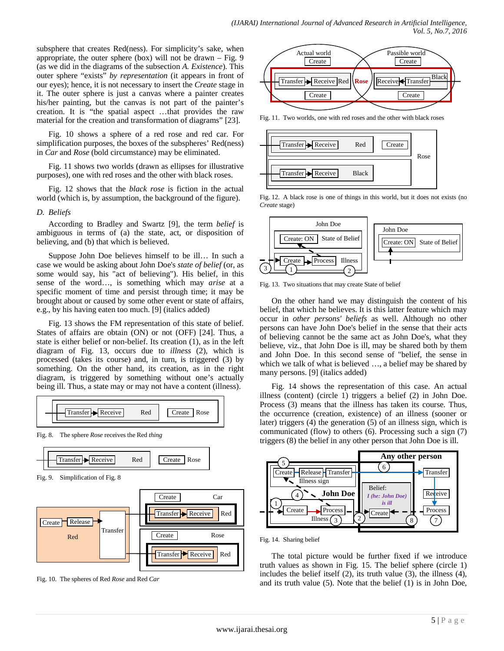subsphere that creates Red(ness). For simplicity's sake, when appropriate, the outer sphere (box) will not be drawn  $-$  Fig. 9 (as we did in the diagrams of the subsection *A. Existence*). This outer sphere "exists" *by representation* (it appears in front of our eyes); hence, it is not necessary to insert the *Create* stage in it. The outer sphere is just a canvas where a painter creates his/her painting, but the canvas is not part of the painter's creation. It is "the spatial aspect …that provides the raw material for the creation and transformation of diagrams" [23].

Fig. 10 shows a sphere of a red rose and red car. For simplification purposes, the boxes of the subspheres' Red(ness) in *Car* and *Rose* (bold circumstance) may be eliminated.

Fig. 11 shows two worlds (drawn as ellipses for illustrative purposes), one with red roses and the other with black roses.

Fig. 12 shows that the *black rose* is fiction in the actual world (which is, by assumption, the background of the figure).

## *D. Beliefs*

According to Bradley and Swartz [9], the term *belief* is ambiguous in terms of (a) the state, act, or disposition of believing, and (b) that which is believed.

Suppose John Doe believes himself to be ill… In such a case we would be asking about John Doe's *state of belief* (or, as some would say, his "act of believing"). His belief, in this sense of the word…, is something which may *arise* at a specific moment of time and persist through time; it may be brought about or caused by some other event or state of affairs, e.g., by his having eaten too much. [9] (italics added)

Fig. 13 shows the FM representation of this state of belief. States of affairs are obtain (ON) or not (OFF) [24]. Thus, a state is either belief or non-belief. Its creation (1), as in the left diagram of Fig. 13, occurs due to *illness* (2), which is processed (takes its course) and, in turn, is triggered (3) by something. On the other hand, its creation, as in the right diagram, is triggered by something without one's actually being ill. Thus, a state may or may not have a content (illness).



Fig. 8. The sphere *Rose* receives the Red *thing*



Fig. 9. Simplification of Fig. 8



Fig. 10. The spheres of Red *Rose* and Red *Car*



Fig. 11. Two worlds, one with red roses and the other with black roses



Fig. 12. A black rose is one of things in this world, but it does not exists (no *Create* stage)



Fig. 13. Two situations that may create State of belief

On the other hand we may distinguish the content of his belief, that which he believes. It is this latter feature which may occur in *other persons' beliefs* as well. Although no other persons can have John Doe's belief in the sense that their acts of believing cannot be the same act as John Doe's, what they believe, viz., that John Doe is ill, may be shared both by them and John Doe. In this second sense of "belief, the sense in which we talk of what is believed ..., a belief may be shared by many persons. [9] (italics added)

Fig. 14 shows the representation of this case. An actual illness (content) (circle 1) triggers a belief (2) in John Doe. Process (3) means that the illness has taken its course. Thus, the occurrence (creation, existence) of an illness (sooner or later) triggers (4) the generation (5) of an illness sign, which is communicated (flow) to others (6). Processing such a sign (7) triggers (8) the belief in any other person that John Doe is ill.



Fig. 14. Sharing belief

The total picture would be further fixed if we introduce truth values as shown in Fig. 15. The belief sphere (circle 1) includes the belief itself (2), its truth value (3), the illness (4), and its truth value (5). Note that the belief (1) is in John Doe,